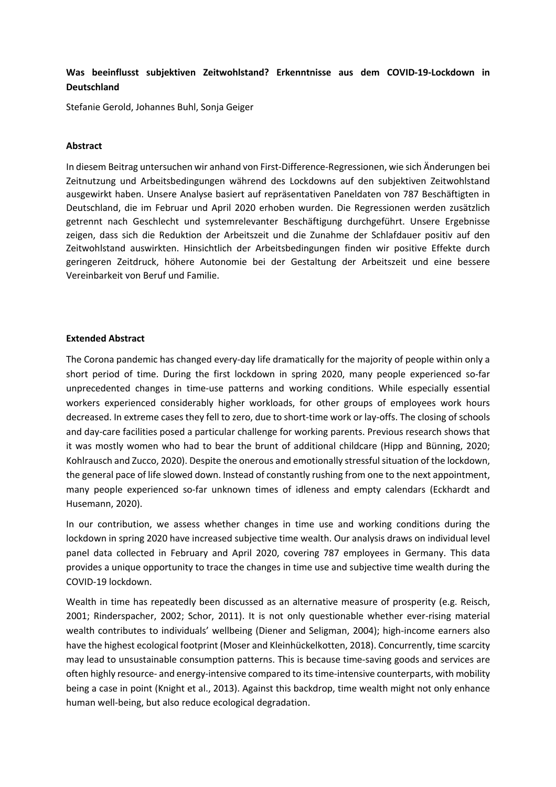## **Was beeinflusst subjektiven Zeitwohlstand? Erkenntnisse aus dem COVID-19-Lockdown in Deutschland**

Stefanie Gerold, Johannes Buhl, Sonja Geiger

## **Abstract**

In diesem Beitrag untersuchen wir anhand von First-Difference-Regressionen, wie sich Änderungen bei Zeitnutzung und Arbeitsbedingungen während des Lockdowns auf den subjektiven Zeitwohlstand ausgewirkt haben. Unsere Analyse basiert auf repräsentativen Paneldaten von 787 Beschäftigten in Deutschland, die im Februar und April 2020 erhoben wurden. Die Regressionen werden zusätzlich getrennt nach Geschlecht und systemrelevanter Beschäftigung durchgeführt. Unsere Ergebnisse zeigen, dass sich die Reduktion der Arbeitszeit und die Zunahme der Schlafdauer positiv auf den Zeitwohlstand auswirkten. Hinsichtlich der Arbeitsbedingungen finden wir positive Effekte durch geringeren Zeitdruck, höhere Autonomie bei der Gestaltung der Arbeitszeit und eine bessere Vereinbarkeit von Beruf und Familie.

## **Extended Abstract**

The Corona pandemic has changed every-day life dramatically for the majority of people within only a short period of time. During the first lockdown in spring 2020, many people experienced so-far unprecedented changes in time-use patterns and working conditions. While especially essential workers experienced considerably higher workloads, for other groups of employees work hours decreased. In extreme cases they fell to zero, due to short-time work or lay-offs. The closing of schools and day-care facilities posed a particular challenge for working parents. Previous research shows that it was mostly women who had to bear the brunt of additional childcare (Hipp and Bünning, 2020; Kohlrausch and Zucco, 2020). Despite the onerous and emotionally stressful situation of the lockdown, the general pace of life slowed down. Instead of constantly rushing from one to the next appointment, many people experienced so-far unknown times of idleness and empty calendars (Eckhardt and Husemann, 2020).

In our contribution, we assess whether changes in time use and working conditions during the lockdown in spring 2020 have increased subjective time wealth. Our analysis draws on individual level panel data collected in February and April 2020, covering 787 employees in Germany. This data provides a unique opportunity to trace the changes in time use and subjective time wealth during the COVID-19 lockdown.

Wealth in time has repeatedly been discussed as an alternative measure of prosperity (e.g. Reisch, 2001; Rinderspacher, 2002; Schor, 2011). It is not only questionable whether ever-rising material wealth contributes to individuals' wellbeing (Diener and Seligman, 2004); high-income earners also have the highest ecological footprint (Moser and Kleinhückelkotten, 2018). Concurrently, time scarcity may lead to unsustainable consumption patterns. This is because time-saving goods and services are often highly resource- and energy-intensive compared to its time-intensive counterparts, with mobility being a case in point (Knight et al., 2013). Against this backdrop, time wealth might not only enhance human well-being, but also reduce ecological degradation.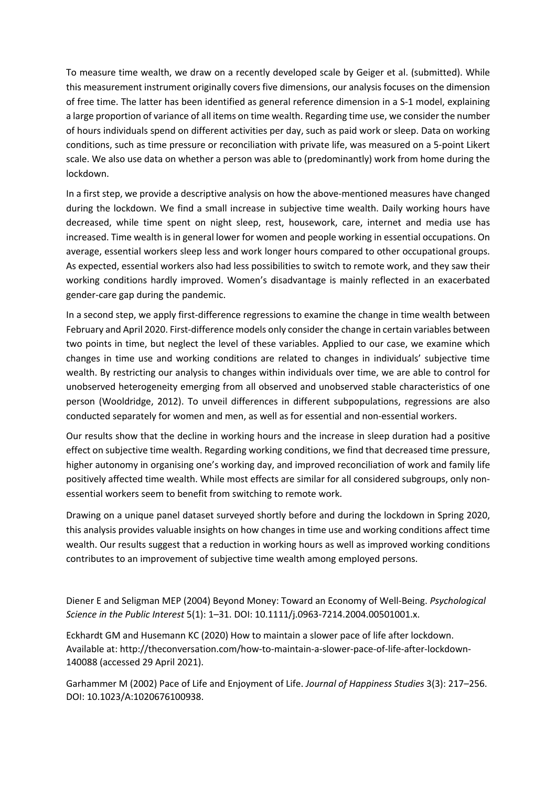To measure time wealth, we draw on a recently developed scale by Geiger et al. (submitted). While this measurement instrument originally covers five dimensions, our analysis focuses on the dimension of free time. The latter has been identified as general reference dimension in a S-1 model, explaining a large proportion of variance of all items on time wealth. Regarding time use, we consider the number of hours individuals spend on different activities per day, such as paid work or sleep. Data on working conditions, such as time pressure or reconciliation with private life, was measured on a 5-point Likert scale. We also use data on whether a person was able to (predominantly) work from home during the lockdown.

In a first step, we provide a descriptive analysis on how the above-mentioned measures have changed during the lockdown. We find a small increase in subjective time wealth. Daily working hours have decreased, while time spent on night sleep, rest, housework, care, internet and media use has increased. Time wealth is in general lower for women and people working in essential occupations. On average, essential workers sleep less and work longer hours compared to other occupational groups. As expected, essential workers also had less possibilities to switch to remote work, and they saw their working conditions hardly improved. Women's disadvantage is mainly reflected in an exacerbated gender-care gap during the pandemic.

In a second step, we apply first-difference regressions to examine the change in time wealth between February and April 2020. First-difference models only consider the change in certain variables between two points in time, but neglect the level of these variables. Applied to our case, we examine which changes in time use and working conditions are related to changes in individuals' subjective time wealth. By restricting our analysis to changes within individuals over time, we are able to control for unobserved heterogeneity emerging from all observed and unobserved stable characteristics of one person (Wooldridge, 2012). To unveil differences in different subpopulations, regressions are also conducted separately for women and men, as well as for essential and non-essential workers.

Our results show that the decline in working hours and the increase in sleep duration had a positive effect on subjective time wealth. Regarding working conditions, we find that decreased time pressure, higher autonomy in organising one's working day, and improved reconciliation of work and family life positively affected time wealth. While most effects are similar for all considered subgroups, only nonessential workers seem to benefit from switching to remote work.

Drawing on a unique panel dataset surveyed shortly before and during the lockdown in Spring 2020, this analysis provides valuable insights on how changes in time use and working conditions affect time wealth. Our results suggest that a reduction in working hours as well as improved working conditions contributes to an improvement of subjective time wealth among employed persons.

Diener E and Seligman MEP (2004) Beyond Money: Toward an Economy of Well-Being. *Psychological Science in the Public Interest* 5(1): 1–31. DOI: 10.1111/j.0963-7214.2004.00501001.x.

Eckhardt GM and Husemann KC (2020) How to maintain a slower pace of life after lockdown. Available at: http://theconversation.com/how-to-maintain-a-slower-pace-of-life-after-lockdown-140088 (accessed 29 April 2021).

Garhammer M (2002) Pace of Life and Enjoyment of Life. *Journal of Happiness Studies* 3(3): 217–256. DOI: 10.1023/A:1020676100938.